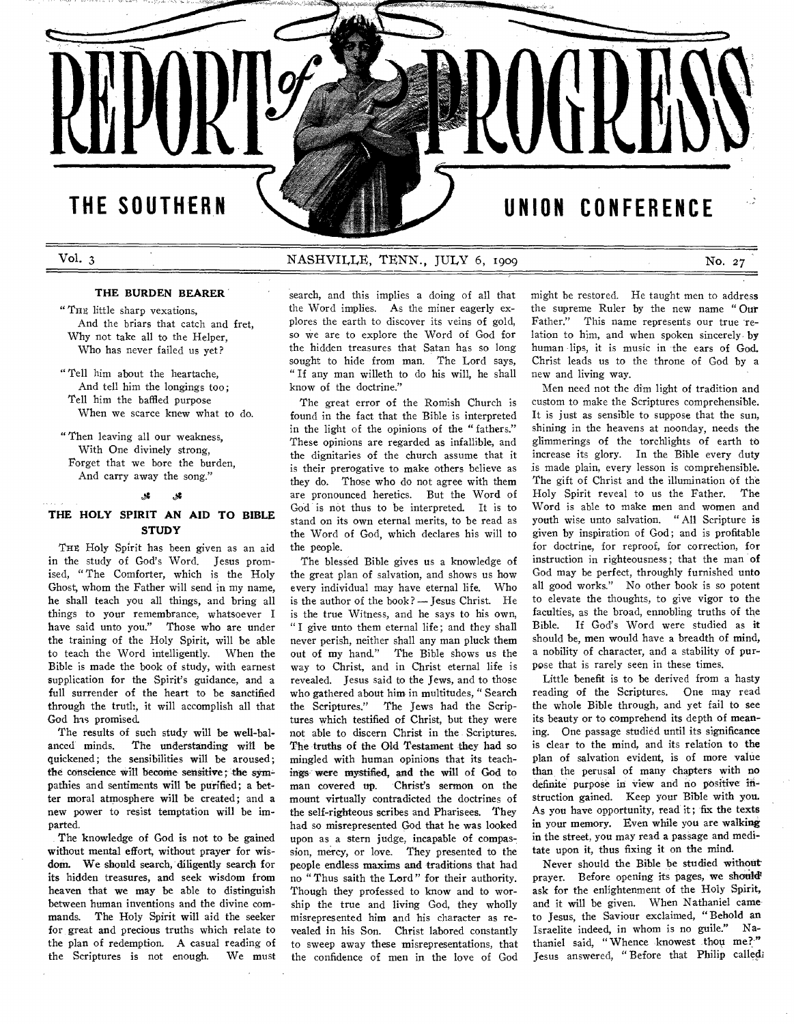## **THE SOUTHERN**

## Vol. 3 NASHVILLE, TENN., JULY 6, 1909 No. 27

## **THE BURDEN BEARER**

" THE little sharp vexations, And the briars that catch and fret, Why not take all to the Helper, Who has never failed us yet?

" Tell him about the heartache, And tell him the longings too; Tell him the baffled purpose When we scarce knew what to do.

" Then leaving all our weakness, With One divinely strong, Forget that we bore the burden, And carry away the song."

## **THE HOLY SPIRIT AN AID TO BIBLE STUDY**

THE Holy Spirit has been given as an aid in the study of God's Word. Jesus promised, "The Comforter, which is the Holy Ghost, whom the Father will send in my name, he shall teach you all things, and bring all things to your remembrance, whatsoever I have said unto you." Those who are under the training of the Holy Spirit, will be able to teach the Word intelligently. When the Bible is made the book of study, with earnest supplication for the Spirit's guidance, and a full surrender of the heart to be sanctified through the truth, it will accomplish all that God has promised.

The results of such study will be well-bal-<br>anced minds. The understanding will be The understanding will be quickened; the sensibilities will be aroused; the conscience will become sensitive; the sympathies and sentiments will be purified; a better moral atmosphere will be created; and a new power to resist temptation will be imparted.

The knowledge of God is not to be gained without mental effort, without prayer for wisdom. We should search, diligently search for its hidden treasures, and seek wisdom from heaven that we may be able to distinguish between human inventions and the divine commands. The Holy Spirit will aid the seeker for great and precious truths which relate to the plan of redemption. A casual reading of the Scriptures is not enough. We must search, and this implies a doing of all that the Word implies. As the miner eagerly explores the earth to discover its veins of gold, so we are to explore the Word of God for the hidden treasures that Satan has so long sought to hide from man. The Lord says, " If any man willeth to do his will, he shall know of the doctrine."

The great error of the Romish Church is found in the fact that the Bible is interpreted in the light of the opinions of the " fathers." These opinions are regarded as infallible, and the dignitaries of the church assume that it is their prerogative to make others believe as they do. Those who do not agree with them are pronounced heretics. But the Word of God is not thus to be interpreted. It is to stand on its own eternal merits, to be read as the Word of God, which declares his will to the people.

The blessed Bible gives us a knowledge of the great plan of salvation, and shows us how every individual may have eternal life. Who is the author of the book? — Jesus Christ. He is the true Witness, and he says to his own, " I give unto them eternal life; and they shall never perish, neither shall any man pluck them out of my hand." The Bible shows us the way to Christ, and in Christ eternal life is revealed. Jesus said to the Jews, and to those who gathered about him in multitudes, "Search<br>the Scriptures." The Jews had the Scrip-The Jews had the Scriptures which testified of Christ, but they were not able to discern Christ in the Scriptures. The truths of the Old Testament they had so mingled with human opinions that its teachings were mystified, and the will of God to Christ's sermon on the mount virtually contradicted the doctrines of the self-righteous scribes and Pharisees. They had so misrepresented God that he was looked upon as a stern judge, incapable of compassion, mercy, or love. They presented to the people endless maxims and traditions that had no "Thus saith the Lord" for their authority. Though they professed to know and to worship the true and living God, they wholly misrepresented him and his character as revealed in his Son. Christ labored constantly to sweep away these misrepresentations, that the confidence of men in the love of God

might be restored. He taught men to address the supreme Ruler by the new name " Our Father." This name represents our true relation to him, and when spoken sincerely by human lips, it is music in the ears of God. Christ leads us to the throne of God by a new and living way.

CONFERENCE

UNION

Men need not the dim light of tradition and custom to make the Scriptures comprehensible. It is just as sensible to suppose that the sun, shining in the heavens at noonday, needs the glimmerings of the torchlights of earth to increase its glory. In the Bible every duty is made plain, every lesson is comprehensible. The gift of Christ and the illumination of the Holy Spirit reveal to us the Father. The Word is able to make men and women and youth wise unto salvation. " All Scripture is given by inspiration of God; and is profitable for doctrine, for reproof, for correction, for instruction in righteousness; that the man of God may be perfect, throughly furnished unto all good works." No other book is so potent to elevate the thoughts, to give vigor to the faculties, as the broad, ennobling truths of the Bible. If God's Word were studied as it should be, men would have a breadth of mind, a nobility of character, and a stability of purpose that is rarely seen in these times.

Little benefit is to be derived from a hasty reading of the Scriptures. One may read the whole Bible through, and yet fail to see its beauty or to comprehend its depth of meaning. One passage studied until its significance is clear to the mind, and its relation to the plan of salvation evident, is of more value than the perusal of many chapters with no definite purpose in view and no positive instruction gained. Keep your Bible with you. As you have opportunity, read it; fix the texts in your memory. Even while you are walking in the street, you may read a passage and meditate upon it, thus fixing it on the mind.

Never should the Bible be studied without prayer. Before opening its pages, we should ask for the enlightenment of the Holy Spirit, and it will be given. When Nathaniel cameto Jesus, the Saviour exclaimed, "Behold an Israelite indeed, in whom is no guile." Nathaniel said, "Whence knowest thou me?" Jesus answered, " Before that Philip called;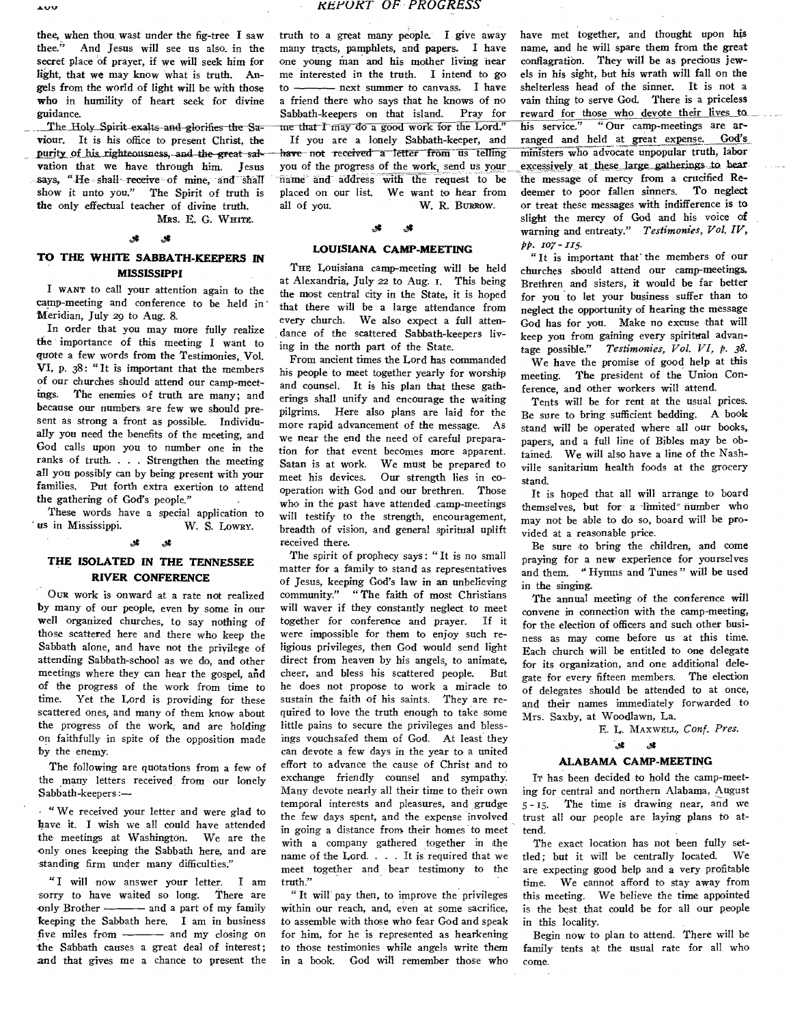thee, when thou wast under the fig-tree I saw thee." And Jesus will see us also, in the secret place of prayer, if we will seek him for light, that we may know what is truth. Angels from the world of light will be with those who in humility of heart seek for divine guidance.

The Holy Spirit-exalts and glorifies the Sa- -me that I may do a good work for the Lord."<br>iour. It is his office to present Christ, the 11 you are a lonely Sabbath-keeper, and viour. It is his office to present Christ, the purity of his righteousness, and the great-salu-have not received a letter from us telling<br>vation that we have through him. Jesus you of the progress of the work, send us your vation that we have through him. Jesus you of the progress of the work, send us your<br>says, "He shall receive of mine, and shall name and address with the request to be show it unto you." The Spirit of truth is the only effectual teacher of divine truth, all of you. W. R. **BURROW.** 

**MRS.** E. G. WHITE.

## $\mathscr{F}$   $\mathscr{F}$

## **TO THE WHITE SABBATH-KEEPERS IN MISSISSIPPI**

I WANT to call your attention again to the camp-meeting and conference to be held in' Meridian, July 2g to Aug. 8.

In order that you may more fully realize the importance of this meeting I want to quote a few words from the Testimonies,. Vol. VI, p. 38: "It is important that the members of our churches should attend our camp-meetings. The enemies of truth are many; and because our numbers are few we should present as strong a front as possible. Individually you need the benefits of the meeting, and God calls upon you to number one in the ranks of truth. . . . Strengthen the meeting all you possibly can by being present with your families. Put forth extra exertion to attend the gathering of God's people."

These words have a special application to<br>in Mississippi. W. S. Lowry. ' us in Mississippi.

## J.

## **THE ISOLATED IN THE TENNESSEE RIVER CONFERENCE**

OUR work is onward at a rate not realized by many of our people, even by some in our well organized churches, to say nothing of those scattered here and there who keep the Sabbath alone, and have not the privilege of attending Sabbath-school as we do, and other meetings where they can hear the gospel, and of the progress of the work from time to time. Yet the Lord is providing for these scattered ones, and many of them know about the progress of the work, and are holding on faithfully in spite of the opposition made by the enemy.

The following are quotations from a few of the many letters received, from our lonely Sabbath-keepers:-

"We received your letter and were glad to have it. I wish we all could have attended the meetings at Washington. We are the only ones keeping the Sabbath here, and are standing firm under many difficulties."

"I will now answer your letter. I am<br>orry to have waited so long. There are sorry to have waited so long. only Brother ------- and a part of my family keeping the Sabbath here. I am in business five miles from  $\frac{1}{\sqrt{1-\frac{1}{\sqrt{1-\frac{1}{\sqrt{1-\frac{1}{\sqrt{1-\frac{1}{\sqrt{1-\frac{1}{\sqrt{1-\frac{1}{\sqrt{1-\frac{1}{\sqrt{1-\frac{1}{\sqrt{1-\frac{1}{\sqrt{1-\frac{1}{\sqrt{1-\frac{1}{\sqrt{1-\frac{1}{\sqrt{1-\frac{1}{\sqrt{1-\frac{1}{\sqrt{1-\frac{1}{\sqrt{1-\frac{1}{\sqrt{1-\frac{1}{\sqrt{1-\frac{1}{\sqrt{1-\frac{1}{\sqrt{1-\frac{1}{\sqrt{1-\frac{1}{\sqrt{1-\frac{1}{\$ the Sabbath causes a great deal of interest; and that gives me a chance to present the truth to a great many people. **I** give away many tracts, pamphlets, and papers. I have one young man and his mother living near me interested in the truth. I intend to go to ————— next summer to canvass. I have a friend there who says that he knows of no Sabbath-keepers on that island. Pray for

name and address with the request to be placed on our list. We want to hear from

# **A A**

## **LOUISIANA CAMP-MEETING**

THE Louisiana camp-meeting will be held at Alexandria, July 22 to Aug. I. This being the most central city in the State, it is hoped that there will be a large attendance from every church. We also expect a full attendance of the scattered Sabbath-keepers living in the north part of the State.

From ancient times the Lord has commanded his people to meet together yearly for worship and counsel. It is his plan that these gatherings shall unify and encourage the waiting pilgrims. Here also plans are laid for the more rapid advancement of the message. As we near the end the need of careful preparation for that event becomes more apparent. Satan is at work. We must be prepared to meet his devices. Our strength lies in cooperation with God and our brethren. Those who in the past have attended camp-meetings will testify to the strength, encouragement, breadth of vision, and general spiritual uplift received there.

The spirit of prophecy says: "It is no small matter for a family to stand as representatives of Jesus, keeping God's law in an unbelieving community." "The faith of most Christians will waver if they constantly neglect to meet together for conference and prayer. If it were impossible for them to enjoy such religious privileges, then God would send light direct from heaven by his angels, to animate, cheer, and bless his scattered people. But he does not propose to work a miracle to sustain the faith of his saints. They are required to love the truth enough to take some little pains to secure the privileges and blessings vouchsafed them of God. At least they can devote a few days in the year to a united effort to advance the cause of Christ and to exchange friendly counsel and sympathy. Many devote nearly all their time to their own temporal interests and pleasures, and grudge the few days spent, and the expense involved in going a distance from their homes to meet with a company gathered together in the name of the Lord. . . It is required that we meet together and bear testimony to the truth."

" It will pay then, to improve the privileges within our reach, and, even at some sacrifice, to assemble with those who fear God and speak for him, for he is represented as hearkening to those testimonies while angels write them in a book. God will remember those who have met together, and thought upon his name, and he will spare them from the great conflagration. They will be as precious jewels in his sight, but his wrath will fall on the shelterless head of the sinner. It is not a vain thing to serve God. There is a priceless reward for those who devote their lives to his service." "Our camp-meetings are arranged and held at great expense. God's Ministers who advocate unpopular truth, labor excessively at these large gatherings to bear the message of mercy from a crucified Redeemer to poor fallen sinners. To neglect or treat these messages with indifference is to slight the mercy of God and his voice of warning and entreaty." *Testimonies, Vol. IV, pp.*  $107 - 115$ .

"It is important that' the members of our churches should attend our camp-meetings, Brethren and sisters, it would be far better for you to let your business suffer than to neglect the opportunity of hearing the message God has for you. Make no excuse that will keep you from gaining every spiritual advantage possible." *Testimonies, Vol. VI, p. 38.* 

We have the promise of good help at this meeting. The president of the Union Conference, and other workers will attend.

Tents will be for rent at the usual prices. Be sure to bring sufficient bedding. A book stand will be operated where all our books, papers, and a full line of Bibles may be obtained. We will also have a line of the Nashville sanitarium health foods at the grocery stand.

It is hoped that all will arrange to board themselves, but for a limited number who may not be able to do so, board will be provided at a reasonable price.

Be sure to bring the children, and come praying for a new experience for yourselves and them. "Hymns and Tunes" will be used in the singing.

The annual meeting of the conference will convene in connection with the camp-meeting, for the election of officers and such other business as may come before us at this time. Each church will be entitled to one delegate for its organization, and one additional delegate for every fifteen members. The election of delegates should be attended to at once, and their names immediately forwarded to Mrs. Saxby, at Woodlawn, La.

E. L. MAXWELL, Conf. Pres.

### پي X

## **ALABAMA CAMP-MEETING**

IT has been decided to hold the camp-meeting for central and northern Alabama, August 5 -15. The time is drawing near, and we trust all our people are laying plans to attend.

The exact location has not been fully settled; but it will be centrally located. We are expecting good help and a very profitable time. We cannot afford to stay away from this meeting. We believe the time appointed is the best that could be for all our people in this locality.

Begin now to plan to attend. There will be family tents at the usual rate for all who come.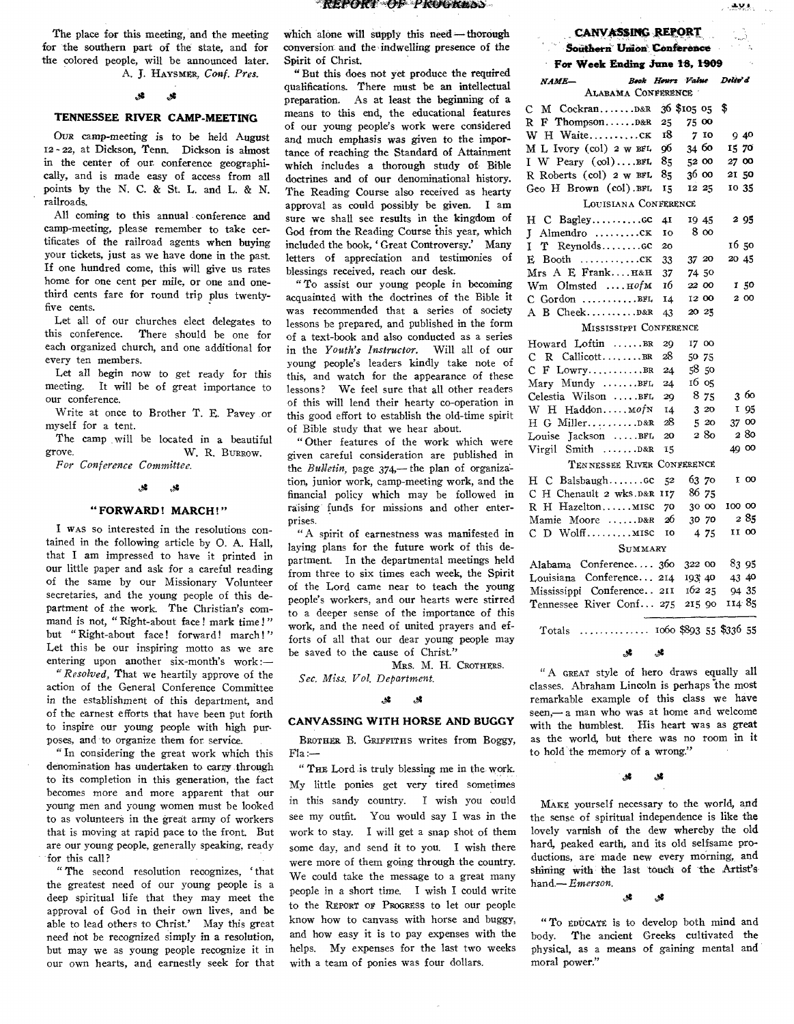*KEPOICT Q. P KkArtfltb..)* 

The place for this meeting, and the meeting for the southern part of the state, and for the colored people, will be announced later. A. J. HAYSMER, *Conf. PreS.* 

## ,g **A**

## **TENNESSEE RIVER CAMP-MEETING**

Ova camp-meeting is to be held August 12 - 22, at Dickson, Tenn. Dickson is almost in the center of our. conference geographically, and is made easy of access from all points by the N. C. & St. L. and L. & N. railroads.

All coming to this annual conference and camp-meeting, please remember to take certificates of the railroad agents when buying your tickets, just as we have done in the past. If one hundred come, this will give us rates home for one cent per mile, or one and onethird cents fare for round trip plus twentyfive cents.

Let all of our churches elect delegates to this conference. There should be one for each organized church, and one additional for every ten members.

Let all begin now to get ready for this meeting. It will be of great importance to our conference.

Write at once to Brother T. E. Pavey or myself for a tent.

The camp will be located in a beautiful grove.<br> $W \times \text{R}$  EUREDOW W. R. BURROW. *For Conference Committee.* 

#### **4**  يي.

## **"FORWARD! MARCH!"**

I WAS so interested in the resolutions contained in the following article by 0. A. Hall, that I am impressed to have it printed in our little paper and ask for a careful reading of the same by our Missionary Volunteer secretaries, and the young people of this department of the work. The Christian's command is not, "Right-about face! mark time!" but "Right-about face! forward! march!" Let this be our inspiring motto as we are entering upon another six-month's work :—

" *Resolved,* That we heartily approve of the action of the General Conference Committee in the establishment of this department, and of the earnest efforts that have been put forth to inspire our young people with high purposes, and to organize them for service.

"In considering the great work which this denomination has undertaken to carry through to its completion in this generation, the fact becomes more and more apparent that our young men and young women must be looked to as volunteers in the great army of workers that is moving at rapid pace to the front. But are our young people, generally speaking, ready for this call?

" The second resolution recognizes, ' that the greatest need of our young people is a deep spiritual life that they may meet the approval of God in their own lives, and be able to lead others to Christ' May this great need not be recognized simply in a resolution, but may we as young people recognize it in our own hearts, and earnestly seek for that

which alone will supply this need—thorough conversion and the indwelling presence of the Spirit of Christ.

"But this does not yet produce the required qualifications. There must be an intellectual preparation. As at least the beginning of a means to this end, the educational features of our young people's work were considered and much emphasis was given to the importance of reaching the Standard of Attainment which includes a thorough study of Bible doctrines and of our denominational history. The Reading Course also received as hearty approval as could possibly be given. I am sure we shall see results in the kingdom of God from the Reading Course this year, which included the book, ' Great Controversy.' Many letters of appreciation and testimonies of blessings received, reach our desk.

"To assist our young people in becoming acquainted with the doctrines of the Bible it was recommended that a series of society lessons be prepared, and published in the form of a text-book and also conducted as a series in the *Youth's Instructor.* Will all of our young people's leaders kindly take note of this, and watch for the appearance of these lessons? We feel sure that all other readers of this will lend their hearty co-operation in this good effort to establish the old-time spirit of Bible study that we hear about.

" Other features of the work which were given careful consideration are published in the *Bulletin,* page 374,— the plan of organization, junior work, camp-meeting work, and the financial policy which may be followed in raising funds for missions and other enterprises.

" A spirit of earnestness was manifested in laying plans for the future work of this department. In the departmental meetings held from three to six times each week, the Spirit of the Lord came near to teach the young people's workers, and our hearts were stirred to a deeper sense of the importance of this work, and the need of united prayers and efforts of all that our dear young people may be saved to the cause of Christ."

MRS. M. H. CROTHERS. *Sec. Miss. Vol. Department.* 

#### ړي.  $\mathcal{R}$

## **CANVASSING WITH HORSE AND BUGGY**

BROTHER B. GRIFFITHS writes from Boggy, Fla:—

" THE Lord is truly blessing me in the work. My little ponies get very tired sometimes in this sandy country. I wish you could see my outfit. You would say I was in the work to stay. I will get a snap shot of them some day, and send it to you. I wish there were more of them going through the country. We could take the message to a great many people in a short time. I wish I could write to the REPORT OF PROGRESS to let our people know how to canvass with horse and buggy, and how easy it is to pay expenses with the helps. My expenses for the last two weeks with a team of ponies was four dollars.

## **CANVASSING REPORT**

## **Southern Union Conference**

## **For Week Ending June 18, 1909**  *NAME— Book Hours Value Delio'd*  A-Anabra Conference

| ____________                              |     |             |        |
|-------------------------------------------|-----|-------------|--------|
|                                           |     | 36 \$105 05 | \$     |
| R F ThompsonD&R                           | 25  | 75 00       |        |
| W H Waiteck                               | 18  | 710         | 9 40   |
| M L Ivory (col) 2 w BFL                   | 96  | 34 60       | 15 70  |
| I W Peary $(\text{col}) \dots \text{BFL}$ | 85  | 52 00       | 27 00  |
| R Roberts (col) 2 w BFL                   | 85  | 36 00       | 21 50  |
| Geo H Brown (col).BFL                     | 15  | 12 25       | 10 35  |
| LOUISIANA CONFERENCE                      |     |             |        |
|                                           | 41  | 19 45       | 2 95   |
|                                           | IO  | 8 00        |        |
| I T Reynoldscc                            | 20  |             | 1650   |
| $E$ Booth $CK$                            | 33  | 37 20       | 20 45  |
| Mrs A E Frank H&H                         | 37  | 74 50       |        |
| $Wm$ Olmsted $HofM$                       | 16  | 22 00       | 150    |
| $C$ Gordon BFL                            | 14  | 12 00       | 2 00   |
| A B Cheek D&R                             | 43  | 20 25       |        |
| MISSISSIPPI CONFERENCE                    |     |             |        |
| Howard Loftin BR                          | 29  | 17 00       |        |
| C R CallicottBR                           | 28  | 50 75       |        |
| $C$ $F$ Lowry                             | 24  | 5850        |        |
| Mary Mundy BFL                            | 24  | 16 05       |        |
| Celestia Wilson BFL                       | 20  | 8 75        | 360    |
| W H Haddon MofN                           | 14  | 320         | I 95   |
| H G MillerD&R                             | 28  | 520         | 37 00  |
| Louise Jackson BFL                        | 20  | 2 80        | 280    |
| Virgil Smith D&R                          | 15  |             | 49 00  |
| TENNESSEE RIVER CONFERENCE                |     |             |        |
| $H \ C$ Balsbaugh $GC$                    | 52  | 63 70       | I 00   |
| C H Chenault 2 wks.D&R                    | 117 | 86 75       |        |
| R H HazeltonMISC                          | 70  | 300         | 100 00 |
| Mamie Moore  D&R                          | 26  | 30 70       | 285    |
| C D Wolff MISC                            | IO  | 4 75        | II 00  |
| SUMMARY                                   |     |             |        |
| Alabama Conference 360                    |     | 322 00      | 83 95  |
| Louisiana Conference 214                  |     | 193 40      | 43 40  |
| Mississippi Conference 211                |     | 16225       | 94 35  |
| Tennessee River Conf 275                  |     | 215 90      | 114 85 |

Totals .............. 1060 \$893 55 \$336 55

#### **عد** گل

" A GREAT style of hero draws equally all classes. Abraham Lincoln is perhaps the most remarkable example of this class we have seen,— a man who was at home and welcome with the humblest. His heart was as great as the world, but there was no room in it to hold the memory of a wrong."

### Å 4

MAKE yourself necessary to the world, and the sense of spiritual independence is like the lovely varnish of the dew whereby the old hard, peaked earth, and its old selfsame productions, are made new every morning, and shining with the last touch of the Artist's hand.— *Emerson.* 

> **گز.** *A,4*

"To EDUCATE is to develop both mind and body. The ancient Greeks cultivated the physical, as a means of gaining mental and moral power."